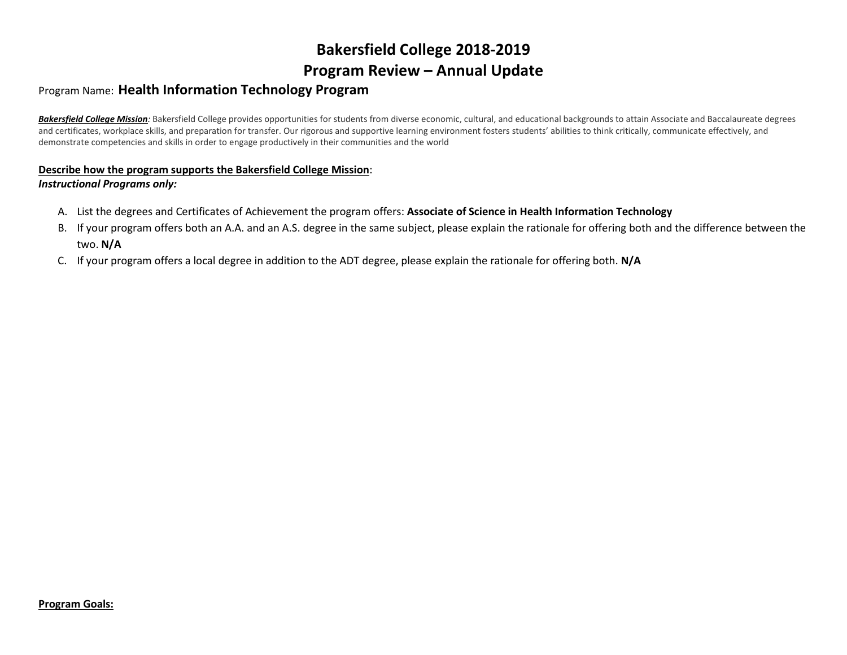# **Bakersfield College 2018-2019 Program Review – Annual Update**

# Program Name: **Health Information Technology Program**

Bakersfield College Mission: Bakersfield College provides opportunities for students from diverse economic, cultural, and educational backgrounds to attain Associate and Baccalaureate degrees and certificates, workplace skills, and preparation for transfer. Our rigorous and supportive learning environment fosters students' abilities to think critically, communicate effectively, and demonstrate competencies and skills in order to engage productively in their communities and the world

#### **Describe how the program supports the Bakersfield College Mission**: *Instructional Programs only:*

- A. List the degrees and Certificates of Achievement the program offers: **Associate of Science in Health Information Technology**
- B. If your program offers both an A.A. and an A.S. degree in the same subject, please explain the rationale for offering both and the difference between the two. **N/A**
- C. If your program offers a local degree in addition to the ADT degree, please explain the rationale for offering both. **N/A**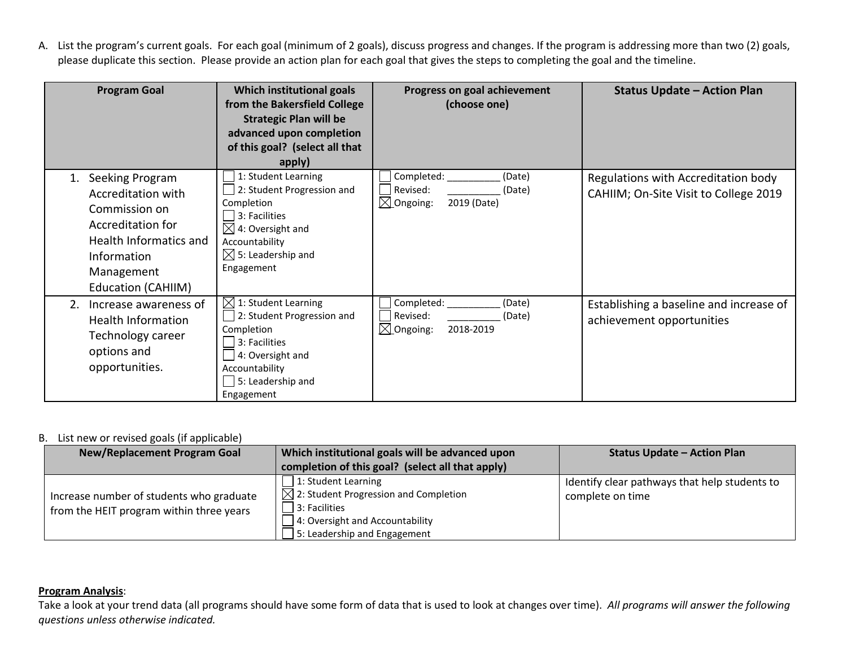A. List the program's current goals. For each goal (minimum of 2 goals), discuss progress and changes. If the program is addressing more than two (2) goals, please duplicate this section. Please provide an action plan for each goal that gives the steps to completing the goal and the timeline.

| <b>Program Goal</b>                                                                                                                                             | Which institutional goals<br>from the Bakersfield College<br><b>Strategic Plan will be</b><br>advanced upon completion<br>of this goal? (select all that<br>apply)                                | Progress on goal achievement<br>(choose one)                                      | <b>Status Update - Action Plan</b>                                           |
|-----------------------------------------------------------------------------------------------------------------------------------------------------------------|---------------------------------------------------------------------------------------------------------------------------------------------------------------------------------------------------|-----------------------------------------------------------------------------------|------------------------------------------------------------------------------|
| Seeking Program<br>Accreditation with<br>Commission on<br>Accreditation for<br>Health Informatics and<br>Information<br>Management<br><b>Education (CAHIIM)</b> | 1: Student Learning<br>$\Box$ 2: Student Progression and<br>Completion<br>$ 3:$ Facilities<br>$\boxtimes$ 4: Oversight and<br>Accountability<br>$\boxtimes$ 5: Leadership and<br>Engagement       | Completed:<br>(Date)<br>Revised:<br>(Date)<br>$\boxtimes$ Ongoing:<br>2019 (Date) | Regulations with Accreditation body<br>CAHIIM; On-Site Visit to College 2019 |
| Increase awareness of<br>2.<br><b>Health Information</b><br>Technology career<br>options and<br>opportunities.                                                  | $\boxtimes$ 1: Student Learning<br>$\Box$ 2: Student Progression and<br>Completion<br>$\Box$ 3: Facilities<br>$\Box$ 4: Oversight and<br>Accountability<br>$\Box$ 5: Leadership and<br>Engagement | Completed:<br>(Date)<br>Revised:<br>(Date)<br>$\boxtimes$ Ongoing:<br>2018-2019   | Establishing a baseline and increase of<br>achievement opportunities         |

## B. List new or revised goals (if applicable)

| <b>New/Replacement Program Goal</b>                                                  | Which institutional goals will be advanced upon<br>completion of this goal? (select all that apply)                                                                               | <b>Status Update - Action Plan</b>                                |
|--------------------------------------------------------------------------------------|-----------------------------------------------------------------------------------------------------------------------------------------------------------------------------------|-------------------------------------------------------------------|
| Increase number of students who graduate<br>from the HEIT program within three years | $\Box$ 1: Student Learning<br>$\boxtimes$ 2: Student Progression and Completion<br>3: Facilities<br>$\Box$ 4: Oversight and Accountability<br>$\Box$ 5: Leadership and Engagement | Identify clear pathways that help students to<br>complete on time |

## **Program Analysis**:

Take a look at your trend data (all programs should have some form of data that is used to look at changes over time). *All programs will answer the following questions unless otherwise indicated.*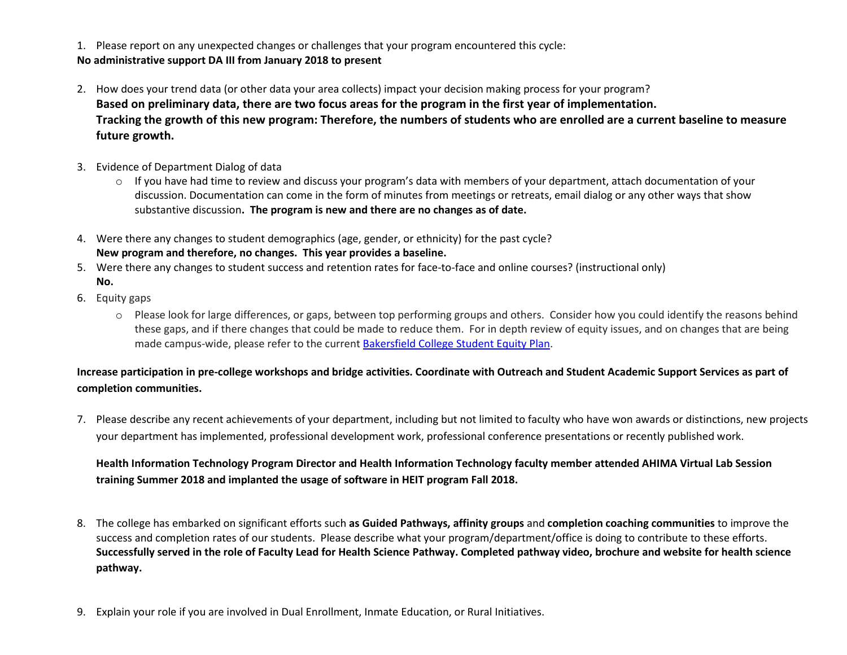1. Please report on any unexpected changes or challenges that your program encountered this cycle: **No administrative support DA III from January 2018 to present**

- 2. How does your trend data (or other data your area collects) impact your decision making process for your program? **Based on preliminary data, there are two focus areas for the program in the first year of implementation. Tracking the growth of this new program: Therefore, the numbers of students who are enrolled are a current baseline to measure future growth.**
- 3. Evidence of Department Dialog of data
	- o If you have had time to review and discuss your program's data with members of your department, attach documentation of your discussion. Documentation can come in the form of minutes from meetings or retreats, email dialog or any other ways that show substantive discussion**. The program is new and there are no changes as of date.**
- 4. Were there any changes to student demographics (age, gender, or ethnicity) for the past cycle? **New program and therefore, no changes. This year provides a baseline.**
- 5. Were there any changes to student success and retention rates for face-to-face and online courses? (instructional only) **No.**
- 6. Equity gaps
	- o Please look for large differences, or gaps, between top performing groups and others. Consider how you could identify the reasons behind these gaps, and if there changes that could be made to reduce them. For in depth review of equity issues, and on changes that are being made campus-wide, please refer to the current [Bakersfield College Student Equity Plan.](https://www.bakersfieldcollege.edu/sites/bakersfieldcollege.edu/files/2015-18_StudentEquityPlan.pdf)

# **Increase participation in pre-college workshops and bridge activities. Coordinate with Outreach and Student Academic Support Services as part of completion communities.**

7. Please describe any recent achievements of your department, including but not limited to faculty who have won awards or distinctions, new projects your department has implemented, professional development work, professional conference presentations or recently published work.

# **Health Information Technology Program Director and Health Information Technology faculty member attended AHIMA Virtual Lab Session training Summer 2018 and implanted the usage of software in HEIT program Fall 2018.**

- 8. The college has embarked on significant efforts such **as Guided Pathways, affinity groups** and **completion coaching communities** to improve the success and completion rates of our students. Please describe what your program/department/office is doing to contribute to these efforts. **Successfully served in the role of Faculty Lead for Health Science Pathway. Completed pathway video, brochure and website for health science pathway.**
- 9. Explain your role if you are involved in Dual Enrollment, Inmate Education, or Rural Initiatives.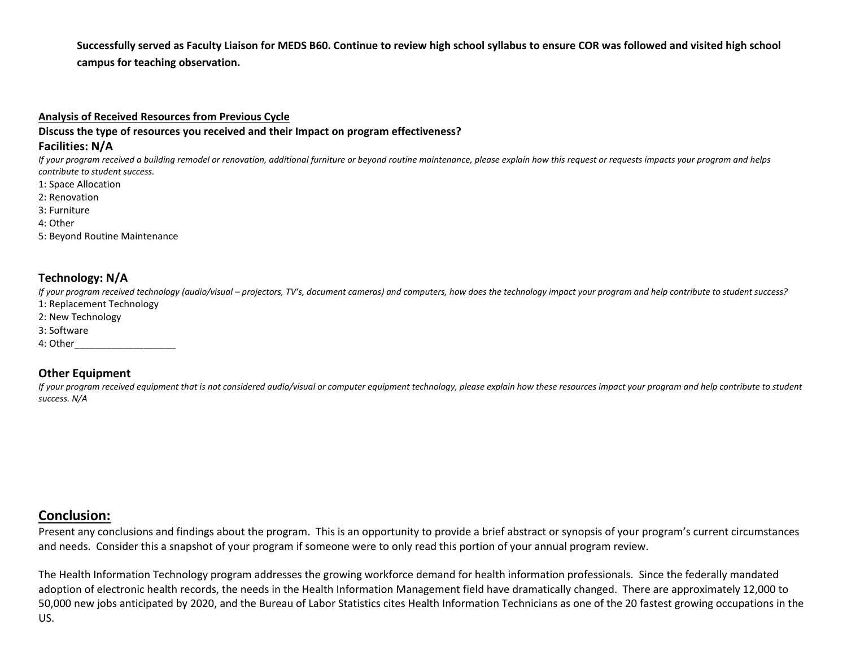**Successfully served as Faculty Liaison for MEDS B60. Continue to review high school syllabus to ensure COR was followed and visited high school campus for teaching observation.**

#### **Analysis of Received Resources from Previous Cycle**

**Discuss the type of resources you received and their Impact on program effectiveness?**

#### **Facilities: N/A**

*If your program received a building remodel or renovation, additional furniture or beyond routine maintenance, please explain how this request or requests impacts your program and helps contribute to student success.*

- 1: Space Allocation
- 2: Renovation
- 3: Furniture
- 4: Other
- 5: Beyond Routine Maintenance

# **Technology: N/A**

*If your program received technology (audio/visual – projectors, TV's, document cameras) and computers, how does the technology impact your program and help contribute to student success?*

- 1: Replacement Technology 2: New Technology
- 3: Software
- 
- 4: Other\_\_\_\_\_\_\_\_\_\_\_\_\_\_\_\_\_\_\_

## **Other Equipment**

If your program received equipment that is not considered audio/visual or computer equipment technology, please explain how these resources impact your program and help contribute to student *success. N/A*

# **Conclusion:**

Present any conclusions and findings about the program. This is an opportunity to provide a brief abstract or synopsis of your program's current circumstances and needs. Consider this a snapshot of your program if someone were to only read this portion of your annual program review.

The Health Information Technology program addresses the growing workforce demand for health information professionals. Since the federally mandated adoption of electronic health records, the needs in the Health Information Management field have dramatically changed. There are approximately 12,000 to 50,000 new jobs anticipated by 2020, and the Bureau of Labor Statistics cites Health Information Technicians as one of the 20 fastest growing occupations in the US.